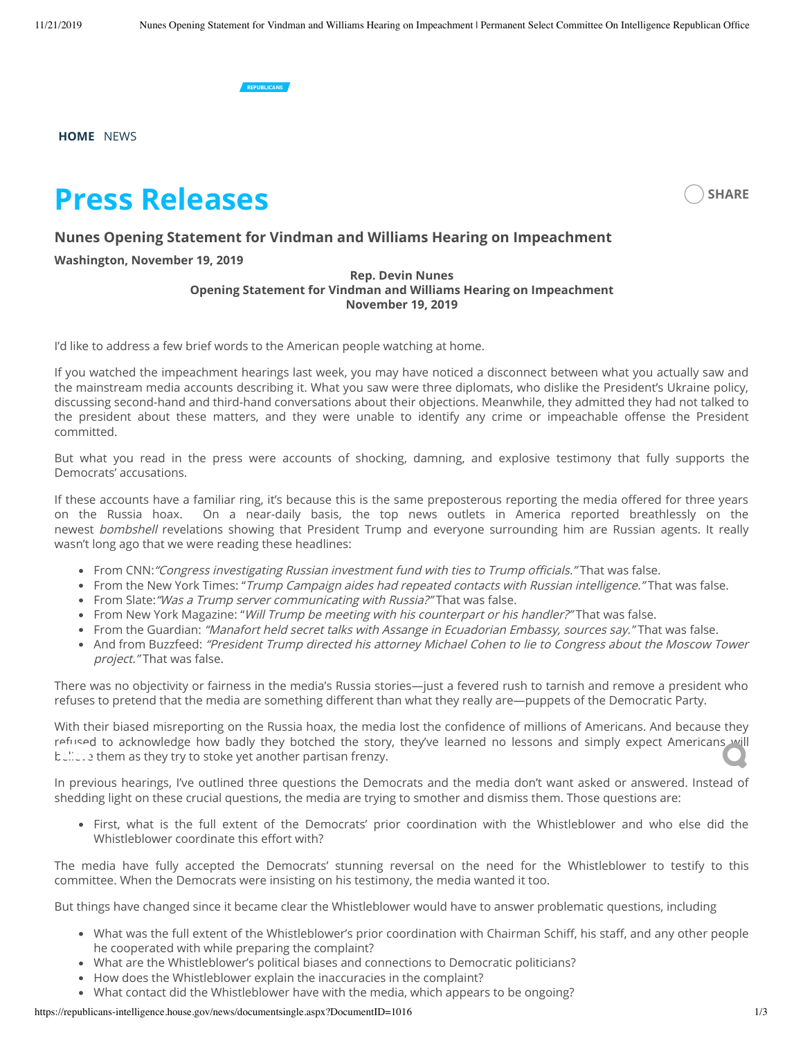

**[HOME](https://republicans-intelligence.house.gov/)**  [NEWS](https://republicans-intelligence.house.gov/news)

# **Press Releases**



### **Nunes Opening Statement for Vindman and Williams Hearing on Impeachment**

#### **Washington, November 19, 2019**

#### **Rep. Devin Nunes Opening Statement for Vindman and Williams Hearing on Impeachment November 19, 2019**

I'd like to address a few brief words to the American people watching at home.

If you watched the impeachment hearings last week, you may have noticed a disconnect between what you actually saw and the mainstream media accounts describing it. What you saw were three diplomats, who dislike the President's Ukraine policy, discussing second-hand and third-hand conversations about their objections. Meanwhile, they admitted they had not talked to the president about these matters, and they were unable to identify any crime or impeachable offense the President committed.

But what you read in the press were accounts of shocking, damning, and explosive testimony that fully supports the Democrats' accusations.

If these accounts have a familiar ring, it's because this is the same preposterous reporting the media offered for three years on the Russia hoax. On a near-daily basis, the top news outlets in America reported breathlessly on the newest bombshell revelations showing that President Trump and everyone surrounding him are Russian agents. It really wasn't long ago that we were reading these headlines:

- From CNN: "Congress investigating Russian investment fund with ties to Trump officials." That was false.
- From the New York Times: "Trump Campaign aides had repeated contacts with Russian intelligence." That was false.
- From Slate: "Was a Trump server communicating with Russia?" That was false.
- From New York Magazine: "Will Trump be meeting with his counterpart or his handler?" That was false.
- From the Guardian: "Manafort held secret talks with Assange in Ecuadorian Embassy, sources say." That was false.
- And from Buzzfeed: "President Trump directed his attorney Michael Cohen to lie to Congress about the Moscow Tower project." That was false.

There was no objectivity or fairness in the media's Russia stories—just a fevered rush to tarnish and remove a president who refuses to pretend that the media are something different than what they really are—puppets of the Democratic Party.

With their biased misreporting on the Russia hoax, the media lost the confidence of millions of Americans. And because they refused to acknowledge how badly they botched the story, they've learned no lessons and simply expect Americans will<br>Latiture them as they try to stoke yet another partisan frenzy. believe them as they try to stoke yet another partisan frenzy.

In previous hearings, I've outlined three questions the Democrats and the media don't want asked or answered. Instead of shedding light on these crucial questions, the media are trying to smother and dismiss them. Those questions are:

First, what is the full extent of the Democrats' prior coordination with the Whistleblower and who else did the Whistleblower coordinate this effort with?

The media have fully accepted the Democrats' stunning reversal on the need for the Whistleblower to testify to this committee. When the Democrats were insisting on his testimony, the media wanted it too.

But things have changed since it became clear the Whistleblower would have to answer problematic questions, including

- What was the full extent of the Whistleblower's prior coordination with Chairman Schiff, his staff, and any other people he cooperated with while preparing the complaint?
- What are the Whistleblower's political biases and connections to Democratic politicians?
- How does the Whistleblower explain the inaccuracies in the complaint?
- What contact did the Whistleblower have with the media, which appears to be ongoing?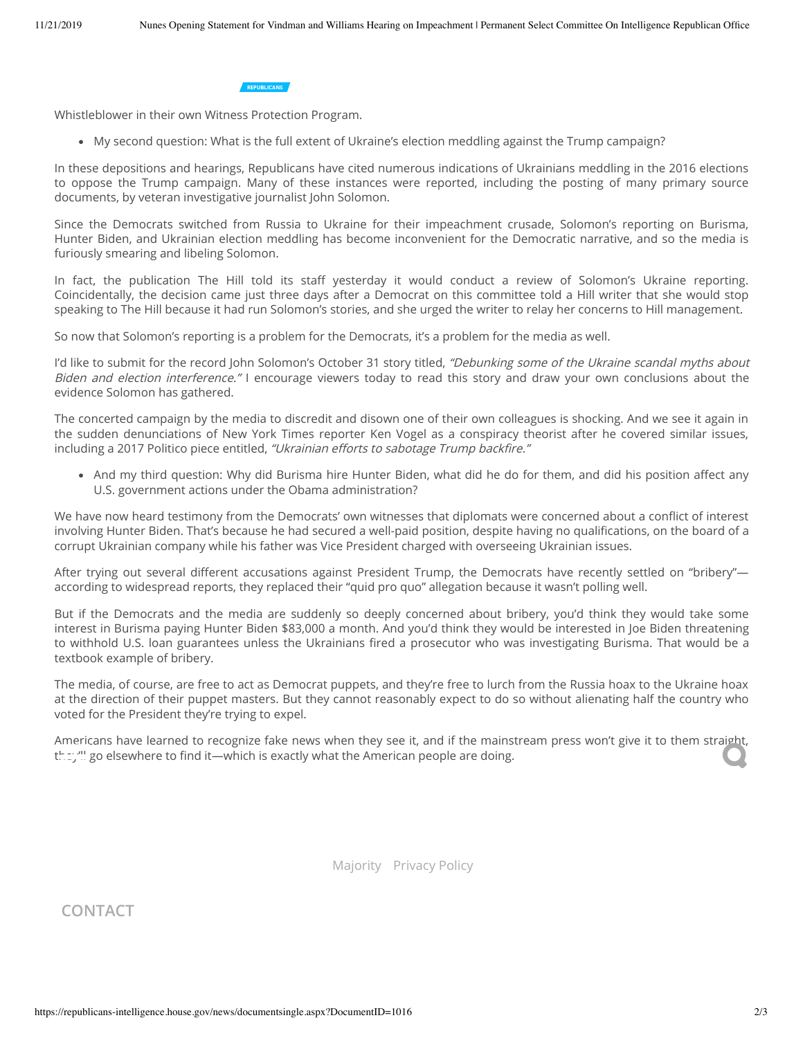

Whistleblower in their own Witness Protection Program.

My second question: What is the full extent of Ukraine's election meddling against the Trump campaign?

In these depositions and hearings, Republicans have cited numerous indications of Ukrainians meddling in the 2016 elections to oppose the Trump campaign. Many of these instances were reported, including the posting of many primary source documents, by veteran investigative journalist John Solomon.

Since the Democrats switched from Russia to Ukraine for their impeachment crusade, Solomon's reporting on Burisma, Hunter Biden, and Ukrainian election meddling has become inconvenient for the Democratic narrative, and so the media is furiously smearing and libeling Solomon.

In fact, the publication The Hill told its staff yesterday it would conduct a review of Solomon's Ukraine reporting. Coincidentally, the decision came just three days after a Democrat on this committee told a Hill writer that she would stop speaking to The Hill because it had run Solomon's stories, and she urged the writer to relay her concerns to Hill management.

So now that Solomon's reporting is a problem for the Democrats, it's a problem for the media as well.

I'd like to submit for the record John Solomon's October 31 story titled, "Debunking some of the Ukraine scandal myths about Biden and election interference." I encourage viewers today to read this story and draw your own conclusions about the evidence Solomon has gathered.

The concerted campaign by the media to discredit and disown one of their own colleagues is shocking. And we see it again in the sudden denunciations of New York Times reporter Ken Vogel as a conspiracy theorist after he covered similar issues, including a 2017 Politico piece entitled, "Ukrainian efforts to sabotage Trump backfire."

• And my third question: Why did Burisma hire Hunter Biden, what did he do for them, and did his position affect any U.S. government actions under the Obama administration?

We have now heard testimony from the Democrats' own witnesses that diplomats were concerned about a conflict of interest involving Hunter Biden. That's because he had secured a well-paid position, despite having no qualifications, on the board of a corrupt Ukrainian company while his father was Vice President charged with overseeing Ukrainian issues.

After trying out several different accusations against President Trump, the Democrats have recently settled on "bribery" according to widespread reports, they replaced their "quid pro quo" allegation because it wasn't polling well.

But if the Democrats and the media are suddenly so deeply concerned about bribery, you'd think they would take some interest in Burisma paying Hunter Biden \$83,000 a month. And you'd think they would be interested in Joe Biden threatening to withhold U.S. loan guarantees unless the Ukrainians fired a prosecutor who was investigating Burisma. That would be a textbook example of bribery.

The media, of course, are free to act as Democrat puppets, and they're free to lurch from the Russia hoax to the Ukraine hoax at the direction of their puppet masters. But they cannot reasonably expect to do so without alienating half the country who voted for the President they're trying to expel.

Americans have learned to recognize fake news when they see it, and if the mainstream press won't give it to them straight,<br>they''' go elsewhere to find it—which is exactly what the American people are doing. they''ll go elsewhere to find it—which is exactly what the American people are doing.

[Majority](http://democrats-intelligence.house.gov/) [Privacy Policy](https://republicans-intelligence.house.gov/privacy)

## **CONTACT**